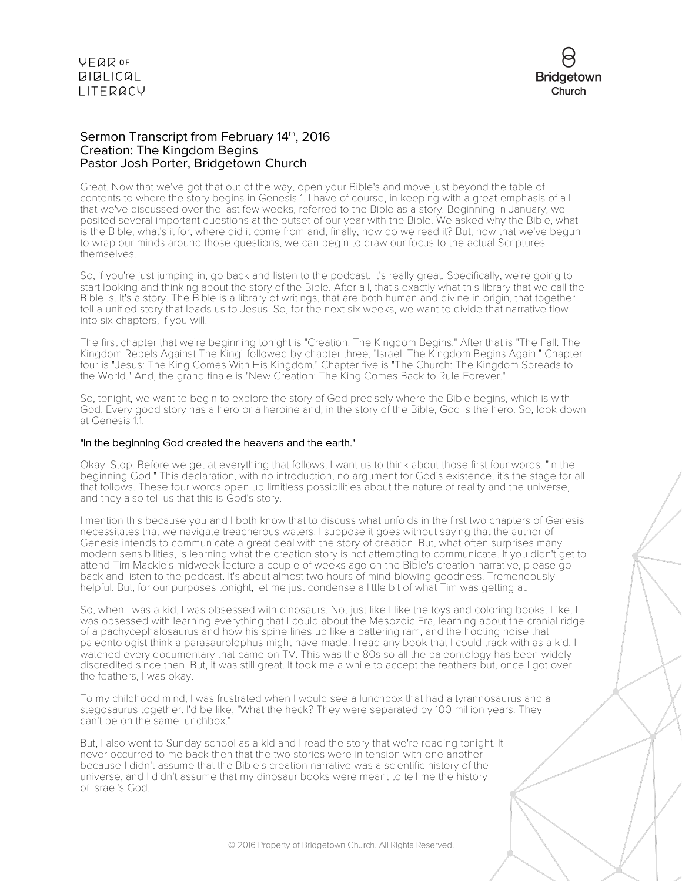

### Sermon Transcript from February 14th, 2016 Creation: The Kingdom Begins Pastor Josh Porter, Bridgetown Church

Great. Now that we've got that out of the way, open your Bible's and move just beyond the table of contents to where the story begins in Genesis 1. I have of course, in keeping with a great emphasis of all that we've discussed over the last few weeks, referred to the Bible as a story. Beginning in January, we posited several important questions at the outset of our year with the Bible. We asked why the Bible, what is the Bible, what's it for, where did it come from and, finally, how do we read it? But, now that we've begun to wrap our minds around those questions, we can begin to draw our focus to the actual Scriptures themselves.

So, if you're just jumping in, go back and listen to the podcast. It's really great. Specifically, we're going to start looking and thinking about the story of the Bible. After all, that's exactly what this library that we call the Bible is. It's a story. The Bible is a library of writings, that are both human and divine in origin, that together tell a unified story that leads us to Jesus. So, for the next six weeks, we want to divide that narrative flow into six chapters, if you will.

The first chapter that we're beginning tonight is "Creation: The Kingdom Begins." After that is "The Fall: The Kingdom Rebels Against The King" followed by chapter three, "Israel: The Kingdom Begins Again." Chapter four is "Jesus: The King Comes With His Kingdom." Chapter five is "The Church: The Kingdom Spreads to the World." And, the grand finale is "New Creation: The King Comes Back to Rule Forever."

So, tonight, we want to begin to explore the story of God precisely where the Bible begins, which is with God. Every good story has a hero or a heroine and, in the story of the Bible, God is the hero. So, look down at Genesis 1:1.

### "In the beginning God created the heavens and the earth."

Okay. Stop. Before we get at everything that follows, I want us to think about those first four words. "In the beginning God." This declaration, with no introduction, no argument for God's existence, it's the stage for all that follows. These four words open up limitless possibilities about the nature of reality and the universe, and they also tell us that this is God's story.

I mention this because you and I both know that to discuss what unfolds in the first two chapters of Genesis necessitates that we navigate treacherous waters. I suppose it goes without saying that the author of Genesis intends to communicate a great deal with the story of creation. But, what often surprises many modern sensibilities, is learning what the creation story is not attempting to communicate. If you didn't get to attend Tim Mackie's midweek lecture a couple of weeks ago on the Bible's creation narrative, please go back and listen to the podcast. It's about almost two hours of mind-blowing goodness. Tremendously helpful. But, for our purposes tonight, let me just condense a little bit of what Tim was getting at.

So, when I was a kid, I was obsessed with dinosaurs. Not just like I like the toys and coloring books. Like, I was obsessed with learning everything that I could about the Mesozoic Era, learning about the cranial ridge of a pachycephalosaurus and how his spine lines up like a battering ram, and the hooting noise that paleontologist think a parasaurolophus might have made. I read any book that I could track with as a kid. I watched every documentary that came on TV. This was the 80s so all the paleontology has been widely discredited since then. But, it was still great. It took me a while to accept the feathers but, once I got over the feathers, I was okay.

To my childhood mind, I was frustrated when I would see a lunchbox that had a tyrannosaurus and a stegosaurus together. I'd be like, "What the heck? They were separated by 100 million years. They can't be on the same lunchbox."

But, I also went to Sunday school as a kid and I read the story that we're reading tonight. It never occurred to me back then that the two stories were in tension with one another because I didn't assume that the Bible's creation narrative was a scientific history of the universe, and I didn't assume that my dinosaur books were meant to tell me the history of Israel's God.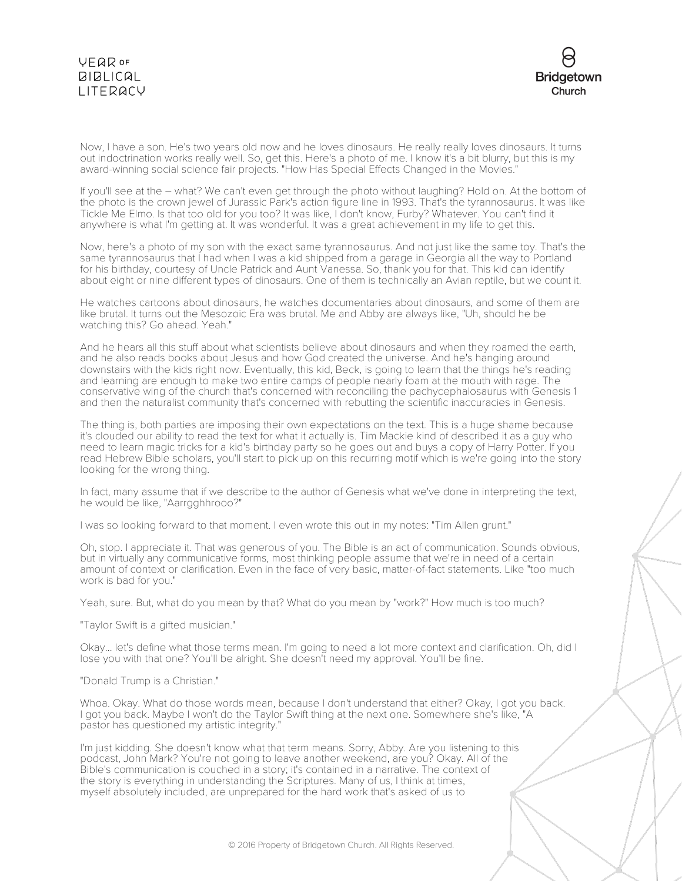



Now, I have a son. He's two years old now and he loves dinosaurs. He really really loves dinosaurs. It turns out indoctrination works really well. So, get this. Here's a photo of me. I know it's a bit blurry, but this is my award-winning social science fair projects. "How Has Special Effects Changed in the Movies."

If you'll see at the – what? We can't even get through the photo without laughing? Hold on. At the bottom of the photo is the crown jewel of Jurassic Park's action figure line in 1993. That's the tyrannosaurus. It was like Tickle Me Elmo. Is that too old for you too? It was like, I don't know, Furby? Whatever. You can't find it anywhere is what I'm getting at. It was wonderful. It was a great achievement in my life to get this.

Now, here's a photo of my son with the exact same tyrannosaurus. And not just like the same toy. That's the same tyrannosaurus that I had when I was a kid shipped from a garage in Georgia all the way to Portland for his birthday, courtesy of Uncle Patrick and Aunt Vanessa. So, thank you for that. This kid can identify about eight or nine different types of dinosaurs. One of them is technically an Avian reptile, but we count it.

He watches cartoons about dinosaurs, he watches documentaries about dinosaurs, and some of them are like brutal. It turns out the Mesozoic Era was brutal. Me and Abby are always like, "Uh, should he be watching this? Go ahead. Yeah."

And he hears all this stuff about what scientists believe about dinosaurs and when they roamed the earth, and he also reads books about Jesus and how God created the universe. And he's hanging around downstairs with the kids right now. Eventually, this kid, Beck, is going to learn that the things he's reading and learning are enough to make two entire camps of people nearly foam at the mouth with rage. The conservative wing of the church that's concerned with reconciling the pachycephalosaurus with Genesis 1 and then the naturalist community that's concerned with rebutting the scientific inaccuracies in Genesis.

The thing is, both parties are imposing their own expectations on the text. This is a huge shame because it's clouded our ability to read the text for what it actually is. Tim Mackie kind of described it as a guy who need to learn magic tricks for a kid's birthday party so he goes out and buys a copy of Harry Potter. If you read Hebrew Bible scholars, you'll start to pick up on this recurring motif which is we're going into the story looking for the wrong thing.

In fact, many assume that if we describe to the author of Genesis what we've done in interpreting the text, he would be like, "Aarrgghhrooo?"

I was so looking forward to that moment. I even wrote this out in my notes: "Tim Allen grunt."

Oh, stop. I appreciate it. That was generous of you. The Bible is an act of communication. Sounds obvious, but in virtually any communicative forms, most thinking people assume that we're in need of a certain amount of context or clarification. Even in the face of very basic, matter-of-fact statements. Like "too much work is bad for you."

Yeah, sure. But, what do you mean by that? What do you mean by "work?" How much is too much?

"Taylor Swift is a gifted musician."

Okay... let's define what those terms mean. I'm going to need a lot more context and clarification. Oh, did I lose you with that one? You'll be alright. She doesn't need my approval. You'll be fine.

"Donald Trump is a Christian."

Whoa. Okay. What do those words mean, because I don't understand that either? Okay, I got you back. I got you back. Maybe I won't do the Taylor Swift thing at the next one. Somewhere she's like, "A pastor has questioned my artistic integrity."

I'm just kidding. She doesn't know what that term means. Sorry, Abby. Are you listening to this podcast, John Mark? You're not going to leave another weekend, are you? Okay. All of the Bible's communication is couched in a story; it's contained in a narrative. The context of the story is everything in understanding the Scriptures. Many of us, I think at times, myself absolutely included, are unprepared for the hard work that's asked of us to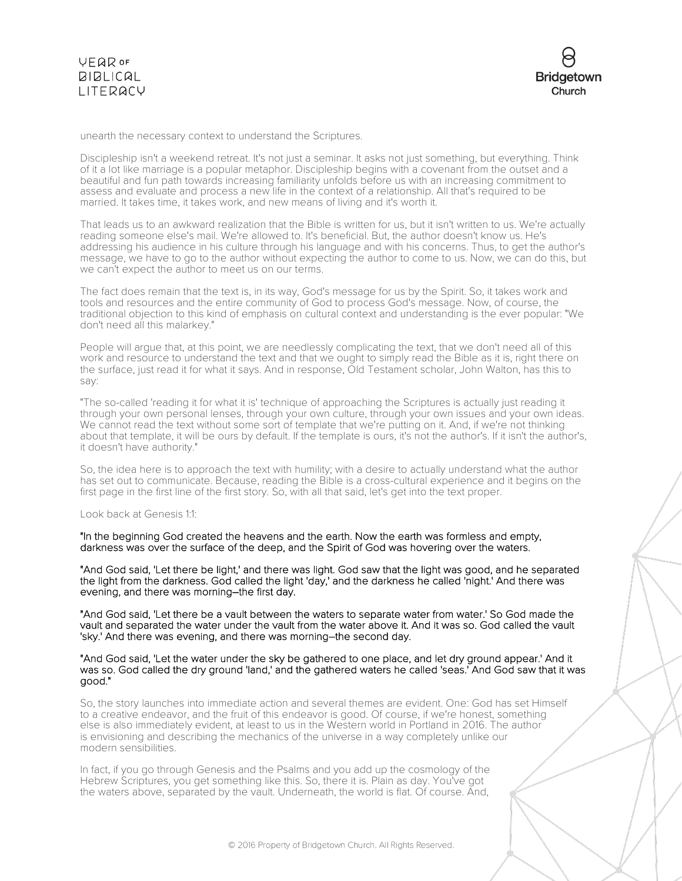



unearth the necessary context to understand the Scriptures.

Discipleship isn't a weekend retreat. It's not just a seminar. It asks not just something, but everything. Think of it a lot like marriage is a popular metaphor. Discipleship begins with a covenant from the outset and a beautiful and fun path towards increasing familiarity unfolds before us with an increasing commitment to assess and evaluate and process a new life in the context of a relationship. All that's required to be married. It takes time, it takes work, and new means of living and it's worth it.

That leads us to an awkward realization that the Bible is written for us, but it isn't written to us. We're actually reading someone else's mail. We're allowed to. It's beneficial. But, the author doesn't know us. He's addressing his audience in his culture through his language and with his concerns. Thus, to get the author's message, we have to go to the author without expecting the author to come to us. Now, we can do this, but we can't expect the author to meet us on our terms.

The fact does remain that the text is, in its way, God's message for us by the Spirit. So, it takes work and tools and resources and the entire community of God to process God's message. Now, of course, the traditional objection to this kind of emphasis on cultural context and understanding is the ever popular: "We don't need all this malarkey."

People will argue that, at this point, we are needlessly complicating the text, that we don't need all of this work and resource to understand the text and that we ought to simply read the Bible as it is, right there on the surface, just read it for what it says. And in response, Old Testament scholar, John Walton, has this to say:

"The so-called 'reading it for what it is' technique of approaching the Scriptures is actually just reading it through your own personal lenses, through your own culture, through your own issues and your own ideas. We cannot read the text without some sort of template that we're putting on it. And, if we're not thinking about that template, it will be ours by default. If the template is ours, it's not the author's. If it isn't the author's, it doesn't have authority."

So, the idea here is to approach the text with humility; with a desire to actually understand what the author has set out to communicate. Because, reading the Bible is a cross-cultural experience and it begins on the first page in the first line of the first story. So, with all that said, let's get into the text proper.

#### Look back at Genesis 1:1:

"In the beginning God created the heavens and the earth. Now the earth was formless and empty, darkness was over the surface of the deep, and the Spirit of God was hovering over the waters.

"And God said, 'Let there be light,' and there was light. God saw that the light was good, and he separated the light from the darkness. God called the light 'day,' and the darkness he called 'night.' And there was evening, and there was morning–the first day.

"And God said, 'Let there be a vault between the waters to separate water from water.' So God made the vault and separated the water under the vault from the water above it. And it was so. God called the vault 'sky.' And there was evening, and there was morning–the second day.

#### "And God said, 'Let the water under the sky be gathered to one place, and let dry ground appear.' And it was so. God called the dry ground 'land,' and the gathered waters he called 'seas.' And God saw that it was good."

So, the story launches into immediate action and several themes are evident. One: God has set Himself to a creative endeavor, and the fruit of this endeavor is good. Of course, if we're honest, something else is also immediately evident, at least to us in the Western world in Portland in 2016. The author is envisioning and describing the mechanics of the universe in a way completely unlike our modern sensibilities.

In fact, if you go through Genesis and the Psalms and you add up the cosmology of the Hebrew Scriptures, you get something like this. So, there it is. Plain as day. You've got the waters above, separated by the vault. Underneath, the world is flat. Of course. And,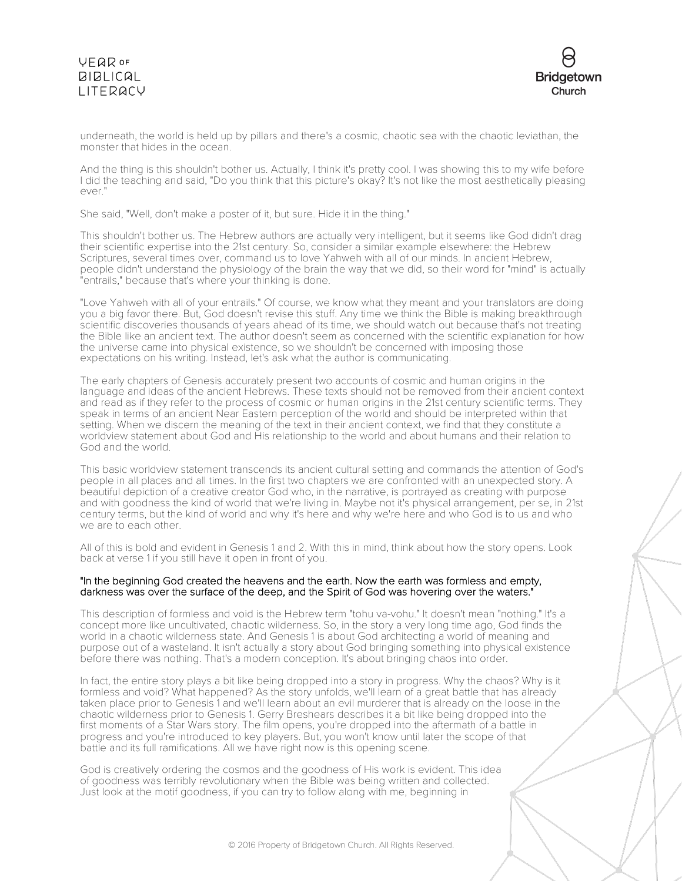## VEQROF **BIBLICAL** LITERACY



underneath, the world is held up by pillars and there's a cosmic, chaotic sea with the chaotic leviathan, the monster that hides in the ocean.

And the thing is this shouldn't bother us. Actually, I think it's pretty cool. I was showing this to my wife before I did the teaching and said, "Do you think that this picture's okay? It's not like the most aesthetically pleasing ever."

She said, "Well, don't make a poster of it, but sure. Hide it in the thing."

This shouldn't bother us. The Hebrew authors are actually very intelligent, but it seems like God didn't drag their scientific expertise into the 21st century. So, consider a similar example elsewhere: the Hebrew Scriptures, several times over, command us to love Yahweh with all of our minds. In ancient Hebrew, people didn't understand the physiology of the brain the way that we did, so their word for "mind" is actually "entrails," because that's where your thinking is done.

"Love Yahweh with all of your entrails." Of course, we know what they meant and your translators are doing you a big favor there. But, God doesn't revise this stuff. Any time we think the Bible is making breakthrough scientific discoveries thousands of years ahead of its time, we should watch out because that's not treating the Bible like an ancient text. The author doesn't seem as concerned with the scientific explanation for how the universe came into physical existence, so we shouldn't be concerned with imposing those expectations on his writing. Instead, let's ask what the author is communicating.

The early chapters of Genesis accurately present two accounts of cosmic and human origins in the language and ideas of the ancient Hebrews. These texts should not be removed from their ancient context and read as if they refer to the process of cosmic or human origins in the 21st century scientific terms. They speak in terms of an ancient Near Eastern perception of the world and should be interpreted within that setting. When we discern the meaning of the text in their ancient context, we find that they constitute a worldview statement about God and His relationship to the world and about humans and their relation to God and the world.

This basic worldview statement transcends its ancient cultural setting and commands the attention of God's people in all places and all times. In the first two chapters we are confronted with an unexpected story. A beautiful depiction of a creative creator God who, in the narrative, is portrayed as creating with purpose and with goodness the kind of world that we're living in. Maybe not it's physical arrangement, per se, in 21st century terms, but the kind of world and why it's here and why we're here and who God is to us and who we are to each other.

All of this is bold and evident in Genesis 1 and 2. With this in mind, think about how the story opens. Look back at verse 1 if you still have it open in front of you.

### "In the beginning God created the heavens and the earth. Now the earth was formless and empty, darkness was over the surface of the deep, and the Spirit of God was hovering over the waters."

This description of formless and void is the Hebrew term "tohu va-vohu." It doesn't mean "nothing." It's a concept more like uncultivated, chaotic wilderness. So, in the story a very long time ago, God finds the world in a chaotic wilderness state. And Genesis 1 is about God architecting a world of meaning and purpose out of a wasteland. It isn't actually a story about God bringing something into physical existence before there was nothing. That's a modern conception. It's about bringing chaos into order.

In fact, the entire story plays a bit like being dropped into a story in progress. Why the chaos? Why is it formless and void? What happened? As the story unfolds, we'll learn of a great battle that has already taken place prior to Genesis 1 and we'll learn about an evil murderer that is already on the loose in the chaotic wilderness prior to Genesis 1. Gerry Breshears describes it a bit like being dropped into the first moments of a Star Wars story. The film opens, you're dropped into the aftermath of a battle in progress and you're introduced to key players. But, you won't know until later the scope of that battle and its full ramifications. All we have right now is this opening scene.

God is creatively ordering the cosmos and the goodness of His work is evident. This idea of goodness was terribly revolutionary when the Bible was being written and collected. Just look at the motif goodness, if you can try to follow along with me, beginning in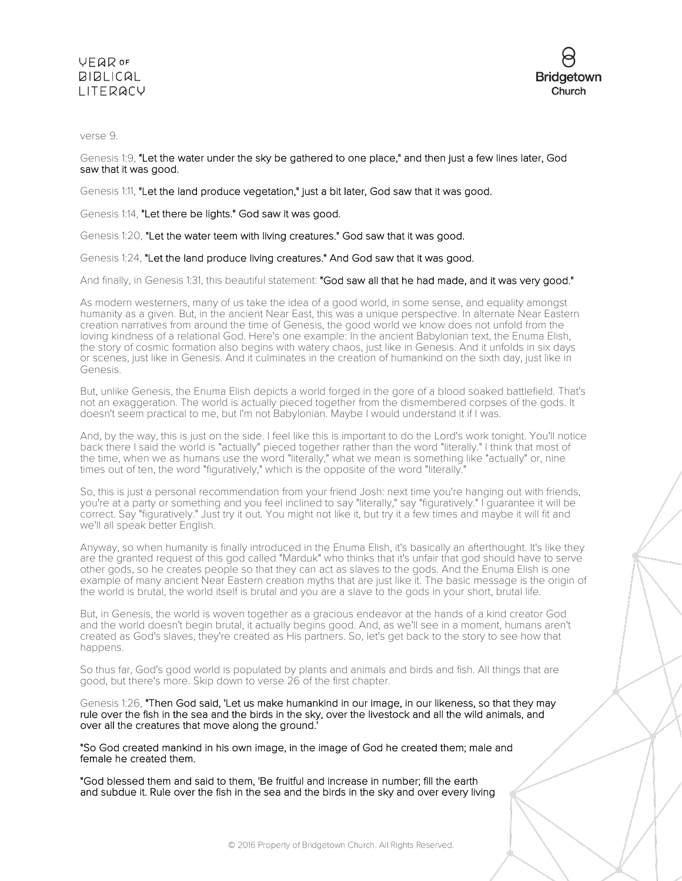## **VEQR OF BIBLICAL** LITERACY



verse 9.

Genesis 1:9, "Let the water under the sky be gathered to one place," and then just a few lines later, God saw that it was good.

Genesis 1:11, "Let the land produce vegetation," just a bit later, God saw that it was good.

Genesis 1:14, "Let there be lights." God saw it was good.

Genesis 1:20, "Let the water teem with living creatures." God saw that it was good.

Genesis 1:24, "Let the land produce living creatures." And God saw that it was good.

And finally, in Genesis 1:31, this beautiful statement: "God saw all that he had made, and it was very good."

As modern westerners, many of us take the idea of a good world, in some sense, and equality amongst humanity as a given. But, in the ancient Near East, this was a unique perspective. In alternate Near Eastern creation narratives from around the time of Genesis, the good world we know does not unfold from the loving kindness of a relational God. Here's one example: In the ancient Babylonian text, the Enuma Elish, the story of cosmic formation also begins with watery chaos, just like in Genesis. And it unfolds in six days or scenes, just like in Genesis. And it culminates in the creation of humankind on the sixth day, just like in Genesis.

But, unlike Genesis, the Enuma Elish depicts a world forged in the gore of a blood soaked battlefield. That's not an exaggeration. The world is actually pieced together from the dismembered corpses of the gods. It doesn't seem practical to me, but I'm not Babylonian. Maybe I would understand it if I was.

And, by the way, this is just on the side. I feel like this is important to do the Lord's work tonight. You'll notice back there I said the world is "actually" pieced together rather than the word "literally." I think that most of the time, when we as humans use the word "literally," what we mean is something like "actually" or, nine times out of ten, the word "figuratively," which is the opposite of the word "literally."

So, this is just a personal recommendation from your friend Josh: next time you're hanging out with friends, you're at a party or something and you feel inclined to say "literally," say "figuratively." I guarantee it will be correct. Say "figuratively." Just try it out. You might not like it, but try it a few times and maybe it will fit and we'll all speak better English.

Anyway, so when humanity is finally introduced in the Enuma Elish, it's basically an afterthought. It's like they are the granted request of this god called "Marduk" who thinks that it's unfair that god should have to serve other gods, so he creates people so that they can act as slaves to the gods. And the Enuma Elish is one example of many ancient Near Eastern creation myths that are just like it. The basic message is the origin of the world is brutal, the world itself is brutal and you are a slave to the gods in your short, brutal life.

But, in Genesis, the world is woven together as a gracious endeavor at the hands of a kind creator God and the world doesn't begin brutal, it actually begins good. And, as we'll see in a moment, humans aren't created as God's slaves, they're created as His partners. So, let's get back to the story to see how that happens.

So thus far, God's good world is populated by plants and animals and birds and fish. All things that are good, but there's more. Skip down to verse 26 of the first chapter.

Genesis 1:26, "Then God said, 'Let us make humankind in our image, in our likeness, so that they may rule over the fish in the sea and the birds in the sky, over the livestock and all the wild animals, and over all the creatures that move along the ground.'

"So God created mankind in his own image, in the image of God he created them; male and female he created them.

"God blessed them and said to them, 'Be fruitful and increase in number; fill the earth and subdue it. Rule over the fish in the sea and the birds in the sky and over every living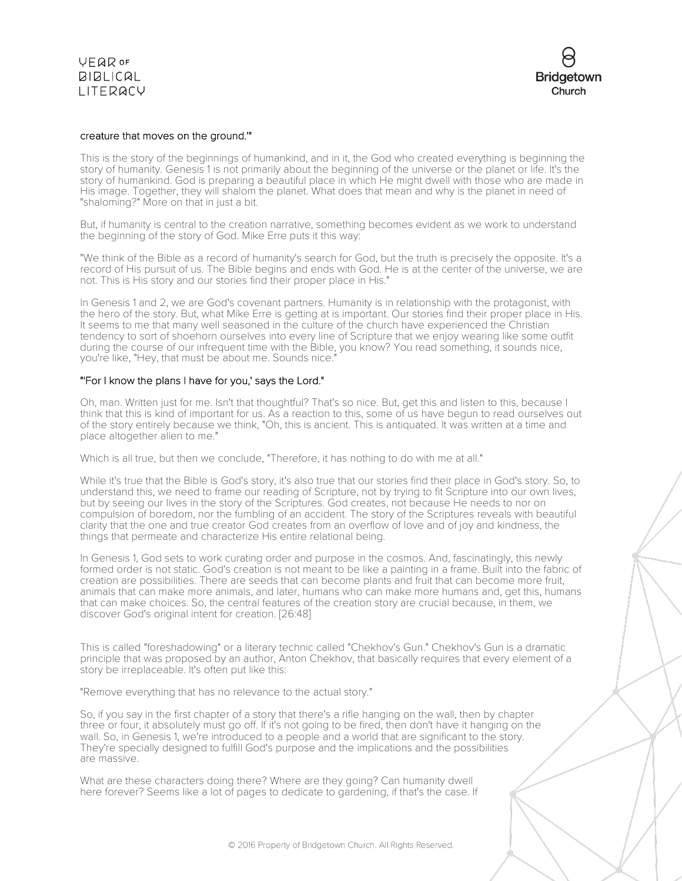**VFQR OF**  $BIBLICAL$ LITERACY

### creature that moves on the ground.'"

This is the story of the beginnings of humankind, and in it, the God who created everything is beginning the story of humanity. Genesis 1 is not primarily about the beginning of the universe or the planet or life. It's the story of humankind. God is preparing a beautiful place in which He might dwell with those who are made in His image. Together, they will shalom the planet. What does that mean and why is the planet in need of "shaloming?" More on that in just a bit.

But, if humanity is central to the creation narrative, something becomes evident as we work to understand the beginning of the story of God. Mike Erre puts it this way:

"We think of the Bible as a record of humanity's search for God, but the truth is precisely the opposite. It's a record of His pursuit of us. The Bible begins and ends with God. He is at the center of the universe, we are not. This is His story and our stories find their proper place in His."

In Genesis 1 and 2, we are God's covenant partners. Humanity is in relationship with the protagonist, with the hero of the story. But, what Mike Erre is getting at is important. Our stories find their proper place in His. It seems to me that many well seasoned in the culture of the church have experienced the Christian tendency to sort of shoehorn ourselves into every line of Scripture that we enjoy wearing like some outfit during the course of our infrequent time with the Bible, you know? You read something, it sounds nice, you're like, "Hey, that must be about me. Sounds nice."

### "'For I know the plans I have for you,' says the Lord."

Oh, man. Written just for me. Isn't that thoughtful? That's so nice. But, get this and listen to this, because I think that this is kind of important for us. As a reaction to this, some of us have begun to read ourselves out of the story entirely because we think, "Oh, this is ancient. This is antiquated. It was written at a time and place altogether alien to me."

Which is all true, but then we conclude, "Therefore, it has nothing to do with me at all."

While it's true that the Bible is God's story, it's also true that our stories find their place in God's story. So, to understand this, we need to frame our reading of Scripture, not by trying to fit Scripture into our own lives, but by seeing our lives in the story of the Scriptures. God creates, not because He needs to nor on compulsion of boredom, nor the fumbling of an accident. The story of the Scriptures reveals with beautiful clarity that the one and true creator God creates from an overflow of love and of joy and kindness, the things that permeate and characterize His entire relational being.

In Genesis 1, God sets to work curating order and purpose in the cosmos. And, fascinatingly, this newly formed order is not static. God's creation is not meant to be like a painting in a frame. Built into the fabric of creation are possibilities. There are seeds that can become plants and fruit that can become more fruit, animals that can make more animals, and later, humans who can make more humans and, get this, humans that can make choices. So, the central features of the creation story are crucial because, in them, we discover God's original intent for creation. [26:48]

This is called "foreshadowing" or a literary technic called "Chekhov's Gun." Chekhov's Gun is a dramatic principle that was proposed by an author, Anton Chekhov, that basically requires that every element of a story be irreplaceable. It's often put like this:

"Remove everything that has no relevance to the actual story."

So, if you say in the first chapter of a story that there's a rifle hanging on the wall, then by chapter three or four, it absolutely must go off. If it's not going to be fired, then don't have it hanging on the wall. So, in Genesis 1, we're introduced to a people and a world that are significant to the story. They're specially designed to fulfill God's purpose and the implications and the possibilities are massive.

What are these characters doing there? Where are they going? Can humanity dwell here forever? Seems like a lot of pages to dedicate to gardening, if that's the case. If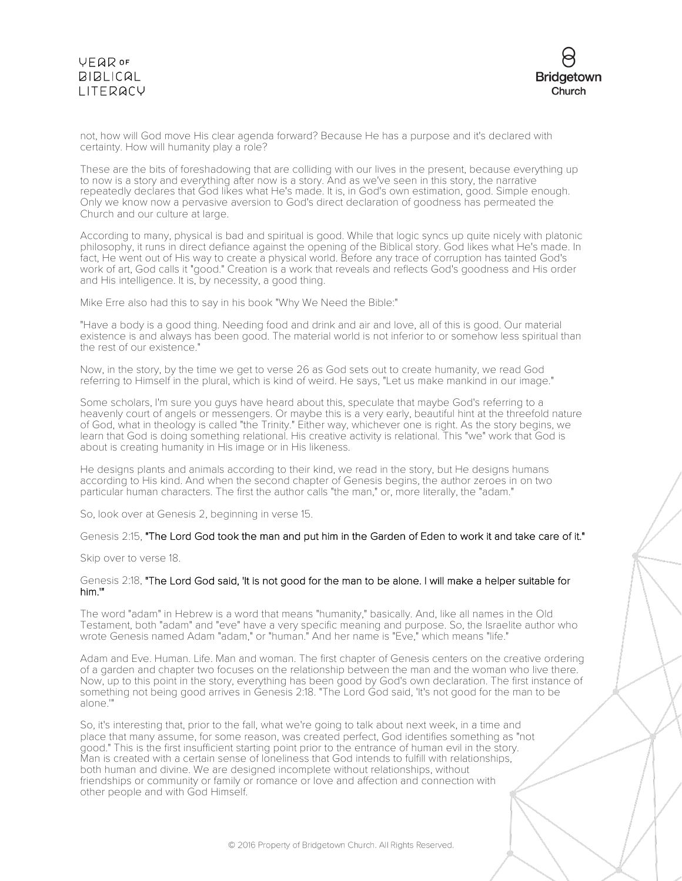# **VFQR OF BIBLICAL** LITERACY



not, how will God move His clear agenda forward? Because He has a purpose and it's declared with certainty. How will humanity play a role?

These are the bits of foreshadowing that are colliding with our lives in the present, because everything up to now is a story and everything after now is a story. And as we've seen in this story, the narrative repeatedly declares that God likes what He's made. It is, in God's own estimation, good. Simple enough. Only we know now a pervasive aversion to God's direct declaration of goodness has permeated the Church and our culture at large.

According to many, physical is bad and spiritual is good. While that logic syncs up quite nicely with platonic philosophy, it runs in direct defiance against the opening of the Biblical story. God likes what He's made. In fact, He went out of His way to create a physical world. Before any trace of corruption has tainted God's work of art, God calls it "good." Creation is a work that reveals and reflects God's goodness and His order and His intelligence. It is, by necessity, a good thing.

Mike Erre also had this to say in his book "Why We Need the Bible:"

"Have a body is a good thing. Needing food and drink and air and love, all of this is good. Our material existence is and always has been good. The material world is not inferior to or somehow less spiritual than the rest of our existence."

Now, in the story, by the time we get to verse 26 as God sets out to create humanity, we read God referring to Himself in the plural, which is kind of weird. He says, "Let us make mankind in our image."

Some scholars, I'm sure you guys have heard about this, speculate that maybe God's referring to a heavenly court of angels or messengers. Or maybe this is a very early, beautiful hint at the threefold nature of God, what in theology is called "the Trinity." Either way, whichever one is right. As the story begins, we learn that God is doing something relational. His creative activity is relational. This "we" work that God is about is creating humanity in His image or in His likeness.

He designs plants and animals according to their kind, we read in the story, but He designs humans according to His kind. And when the second chapter of Genesis begins, the author zeroes in on two particular human characters. The first the author calls "the man," or, more literally, the "adam."

So, look over at Genesis 2, beginning in verse 15.

#### Genesis 2:15, "The Lord God took the man and put him in the Garden of Eden to work it and take care of it."

Skip over to verse 18.

#### Genesis 2:18, "The Lord God said, 'It is not good for the man to be alone. I will make a helper suitable for him.'"

The word "adam" in Hebrew is a word that means "humanity," basically. And, like all names in the Old Testament, both "adam" and "eve" have a very specific meaning and purpose. So, the Israelite author who wrote Genesis named Adam "adam," or "human." And her name is "Eve," which means "life."

Adam and Eve. Human. Life. Man and woman. The first chapter of Genesis centers on the creative ordering of a garden and chapter two focuses on the relationship between the man and the woman who live there. Now, up to this point in the story, everything has been good by God's own declaration. The first instance of something not being good arrives in Genesis 2:18. "The Lord God said, 'It's not good for the man to be alone.'"

So, it's interesting that, prior to the fall, what we're going to talk about next week, in a time and place that many assume, for some reason, was created perfect, God identifies something as "not good." This is the first insufficient starting point prior to the entrance of human evil in the story. Man is created with a certain sense of loneliness that God intends to fulfill with relationships, both human and divine. We are designed incomplete without relationships, without friendships or community or family or romance or love and affection and connection with other people and with God Himself.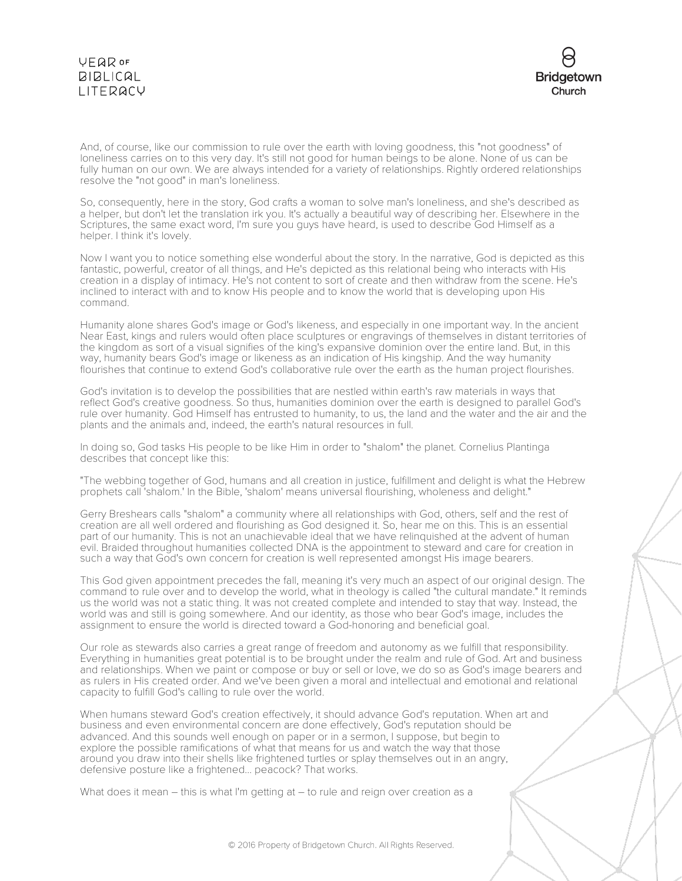## **VEQR OF BIBLICAL** LITERACY



And, of course, like our commission to rule over the earth with loving goodness, this "not goodness" of loneliness carries on to this very day. It's still not good for human beings to be alone. None of us can be fully human on our own. We are always intended for a variety of relationships. Rightly ordered relationships resolve the "not good" in man's loneliness.

So, consequently, here in the story, God crafts a woman to solve man's loneliness, and she's described as a helper, but don't let the translation irk you. It's actually a beautiful way of describing her. Elsewhere in the Scriptures, the same exact word, I'm sure you guys have heard, is used to describe God Himself as a helper. I think it's lovely.

Now I want you to notice something else wonderful about the story. In the narrative, God is depicted as this fantastic, powerful, creator of all things, and He's depicted as this relational being who interacts with His creation in a display of intimacy. He's not content to sort of create and then withdraw from the scene. He's inclined to interact with and to know His people and to know the world that is developing upon His command.

Humanity alone shares God's image or God's likeness, and especially in one important way. In the ancient Near East, kings and rulers would often place sculptures or engravings of themselves in distant territories of the kingdom as sort of a visual signifies of the king's expansive dominion over the entire land. But, in this way, humanity bears God's image or likeness as an indication of His kingship. And the way humanity flourishes that continue to extend God's collaborative rule over the earth as the human project flourishes.

God's invitation is to develop the possibilities that are nestled within earth's raw materials in ways that reflect God's creative goodness. So thus, humanities dominion over the earth is designed to parallel God's rule over humanity. God Himself has entrusted to humanity, to us, the land and the water and the air and the plants and the animals and, indeed, the earth's natural resources in full.

In doing so, God tasks His people to be like Him in order to "shalom" the planet. Cornelius Plantinga describes that concept like this:

"The webbing together of God, humans and all creation in justice, fulfillment and delight is what the Hebrew prophets call 'shalom.' In the Bible, 'shalom' means universal flourishing, wholeness and delight."

Gerry Breshears calls "shalom" a community where all relationships with God, others, self and the rest of creation are all well ordered and flourishing as God designed it. So, hear me on this. This is an essential part of our humanity. This is not an unachievable ideal that we have relinquished at the advent of human evil. Braided throughout humanities collected DNA is the appointment to steward and care for creation in such a way that God's own concern for creation is well represented amongst His image bearers.

This God given appointment precedes the fall, meaning it's very much an aspect of our original design. The command to rule over and to develop the world, what in theology is called "the cultural mandate." It reminds us the world was not a static thing. It was not created complete and intended to stay that way. Instead, the world was and still is going somewhere. And our identity, as those who bear God's image, includes the assignment to ensure the world is directed toward a God-honoring and beneficial goal.

Our role as stewards also carries a great range of freedom and autonomy as we fulfill that responsibility. Everything in humanities great potential is to be brought under the realm and rule of God. Art and business and relationships. When we paint or compose or buy or sell or love, we do so as God's image bearers and as rulers in His created order. And we've been given a moral and intellectual and emotional and relational capacity to fulfill God's calling to rule over the world.

When humans steward God's creation effectively, it should advance God's reputation. When art and business and even environmental concern are done effectively, God's reputation should be advanced. And this sounds well enough on paper or in a sermon, I suppose, but begin to explore the possible ramifications of what that means for us and watch the way that those around you draw into their shells like frightened turtles or splay themselves out in an angry, defensive posture like a frightened... peacock? That works.

What does it mean – this is what I'm getting at – to rule and reign over creation as a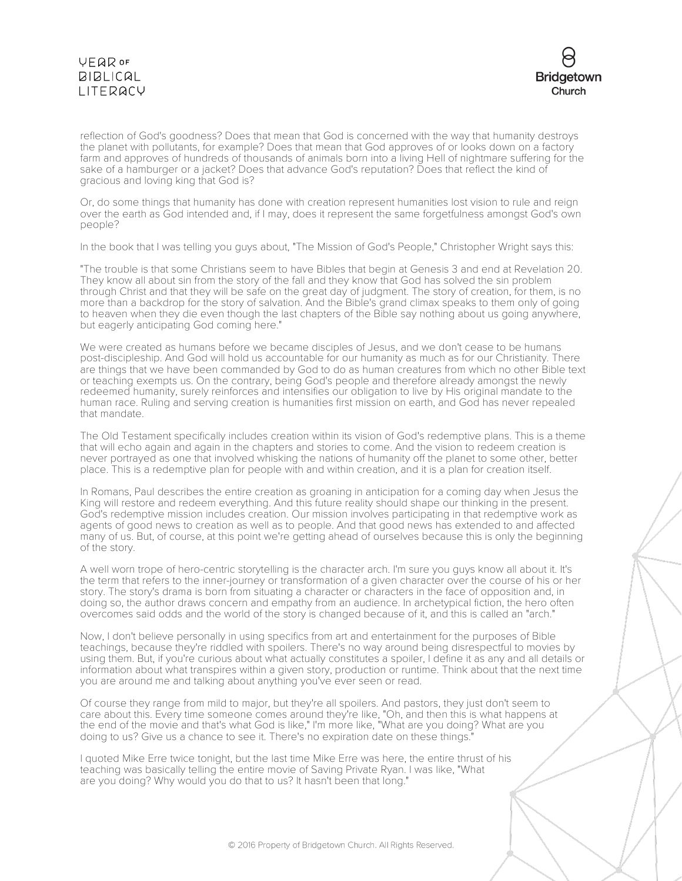# **VEQR OF**  $BIBLICAL$ LITERACY



reflection of God's goodness? Does that mean that God is concerned with the way that humanity destroys the planet with pollutants, for example? Does that mean that God approves of or looks down on a factory farm and approves of hundreds of thousands of animals born into a living Hell of nightmare suffering for the sake of a hamburger or a jacket? Does that advance God's reputation? Does that reflect the kind of gracious and loving king that God is?

Or, do some things that humanity has done with creation represent humanities lost vision to rule and reign over the earth as God intended and, if I may, does it represent the same forgetfulness amongst God's own people?

In the book that I was telling you guys about, "The Mission of God's People," Christopher Wright says this:

"The trouble is that some Christians seem to have Bibles that begin at Genesis 3 and end at Revelation 20. They know all about sin from the story of the fall and they know that God has solved the sin problem through Christ and that they will be safe on the great day of judgment. The story of creation, for them, is no more than a backdrop for the story of salvation. And the Bible's grand climax speaks to them only of going to heaven when they die even though the last chapters of the Bible say nothing about us going anywhere, but eagerly anticipating God coming here."

We were created as humans before we became disciples of Jesus, and we don't cease to be humans post-discipleship. And God will hold us accountable for our humanity as much as for our Christianity. There are things that we have been commanded by God to do as human creatures from which no other Bible text or teaching exempts us. On the contrary, being God's people and therefore already amongst the newly redeemed humanity, surely reinforces and intensifies our obligation to live by His original mandate to the human race. Ruling and serving creation is humanities first mission on earth, and God has never repealed that mandate.

The Old Testament specifically includes creation within its vision of God's redemptive plans. This is a theme that will echo again and again in the chapters and stories to come. And the vision to redeem creation is never portrayed as one that involved whisking the nations of humanity off the planet to some other, better place. This is a redemptive plan for people with and within creation, and it is a plan for creation itself.

In Romans, Paul describes the entire creation as groaning in anticipation for a coming day when Jesus the King will restore and redeem everything. And this future reality should shape our thinking in the present. God's redemptive mission includes creation. Our mission involves participating in that redemptive work as agents of good news to creation as well as to people. And that good news has extended to and affected many of us. But, of course, at this point we're getting ahead of ourselves because this is only the beginning of the story.

A well worn trope of hero-centric storytelling is the character arch. I'm sure you guys know all about it. It's the term that refers to the inner-journey or transformation of a given character over the course of his or her story. The story's drama is born from situating a character or characters in the face of opposition and, in doing so, the author draws concern and empathy from an audience. In archetypical fiction, the hero often overcomes said odds and the world of the story is changed because of it, and this is called an "arch."

Now, I don't believe personally in using specifics from art and entertainment for the purposes of Bible teachings, because they're riddled with spoilers. There's no way around being disrespectful to movies by using them. But, if you're curious about what actually constitutes a spoiler, I define it as any and all details or information about what transpires within a given story, production or runtime. Think about that the next time you are around me and talking about anything you've ever seen or read.

Of course they range from mild to major, but they're all spoilers. And pastors, they just don't seem to care about this. Every time someone comes around they're like, "Oh, and then this is what happens at the end of the movie and that's what God is like," I'm more like, "What are you doing? What are you doing to us? Give us a chance to see it. There's no expiration date on these things."

I quoted Mike Erre twice tonight, but the last time Mike Erre was here, the entire thrust of his teaching was basically telling the entire movie of Saving Private Ryan. I was like, "What are you doing? Why would you do that to us? It hasn't been that long."